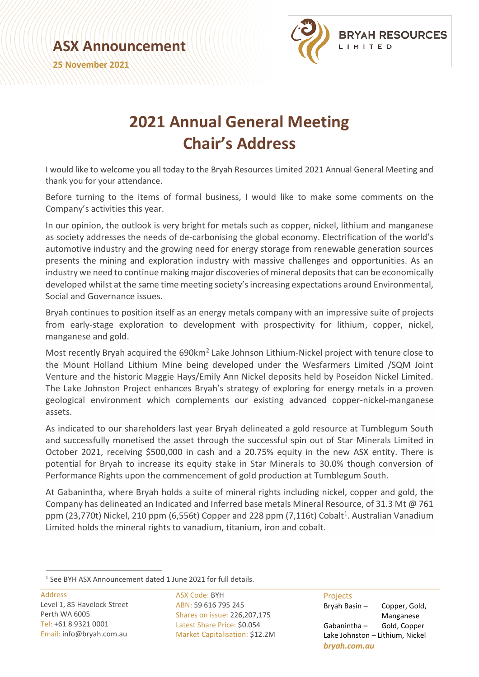**ASX Announcement**

**25 November 2021**



## **2021 Annual General Meeting Chair's Address**

I would like to welcome you all today to the Bryah Resources Limited 2021 Annual General Meeting and thank you for your attendance.

Before turning to the items of formal business, I would like to make some comments on the Company's activities this year.

In our opinion, the outlook is very bright for metals such as copper, nickel, lithium and manganese as society addresses the needs of de-carbonising the global economy. Electrification of the world's automotive industry and the growing need for energy storage from renewable generation sources presents the mining and exploration industry with massive challenges and opportunities. As an industry we need to continue making major discoveries of mineral deposits that can be economically developed whilst at the same time meeting society's increasing expectations around Environmental, Social and Governance issues.

Bryah continues to position itself as an energy metals company with an impressive suite of projects from early-stage exploration to development with prospectivity for lithium, copper, nickel, manganese and gold.

Most recently Bryah acquired the 690km<sup>2</sup> Lake Johnson Lithium-Nickel project with tenure close to the Mount Holland Lithium Mine being developed under the Wesfarmers Limited /SQM Joint Venture and the historic Maggie Hays/Emily Ann Nickel deposits held by Poseidon Nickel Limited. The Lake Johnston Project enhances Bryah's strategy of exploring for energy metals in a proven geological environment which complements our existing advanced copper-nickel-manganese assets.

As indicated to our shareholders last year Bryah delineated a gold resource at Tumblegum South and successfully monetised the asset through the successful spin out of Star Minerals Limited in October 2021, receiving \$500,000 in cash and a 20.75% equity in the new ASX entity. There is potential for Bryah to increase its equity stake in Star Minerals to 30.0% though conversion of Performance Rights upon the commencement of gold production at Tumblegum South.

At Gabanintha, where Bryah holds a suite of mineral rights including nickel, copper and gold, the Company has delineated an Indicated and Inferred base metals Mineral Resource, of 31.3 Mt @ 761 ppm (23,770t) Nickel, 210 ppm (6,556t) Copper and 228 ppm (7,116t) Cobalt<sup>1</sup>. Australian Vanadium Limited holds the mineral rights to vanadium, titanium, iron and cobalt.

Address Level 1, 85 Havelock Street Perth WA 6005 Tel: +61 8 9321 0001 Email: info@bryah.com.au

ASX Code: BYH ABN: 59 616 795 245 Shares on issue: 226,207,175 Latest Share Price: \$0.054 Market Capitalisation: \$12.2M

## Projects

Bryah Basin – Copper, Gold, Manganese Gabanintha – Gold, Copper Lake Johnston – Lithium, Nickel *bryah.com.au*

<sup>&</sup>lt;sup>1</sup> See BYH ASX Announcement dated 1 June 2021 for full details.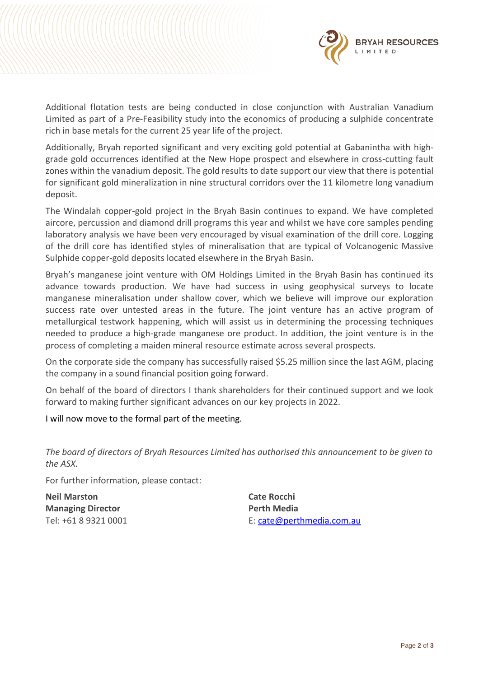

Additional flotation tests are being conducted in close conjunction with Australian Vanadium Limited as part of a Pre-Feasibility study into the economics of producing a sulphide concentrate rich in base metals for the current 25 year life of the project.

Additionally, Bryah reported significant and very exciting gold potential at Gabanintha with highgrade gold occurrences identified at the New Hope prospect and elsewhere in cross-cutting fault zones within the vanadium deposit. The gold results to date support our view that there is potential for significant gold mineralization in nine structural corridors over the 11 kilometre long vanadium deposit.

The Windalah copper-gold project in the Bryah Basin continues to expand. We have completed aircore, percussion and diamond drill programs this year and whilst we have core samples pending laboratory analysis we have been very encouraged by visual examination of the drill core. Logging of the drill core has identified styles of mineralisation that are typical of Volcanogenic Massive Sulphide copper-gold deposits located elsewhere in the Bryah Basin.

Bryah's manganese joint venture with OM Holdings Limited in the Bryah Basin has continued its advance towards production. We have had success in using geophysical surveys to locate manganese mineralisation under shallow cover, which we believe will improve our exploration success rate over untested areas in the future. The joint venture has an active program of metallurgical testwork happening, which will assist us in determining the processing techniques needed to produce a high-grade manganese ore product. In addition, the joint venture is in the process of completing a maiden mineral resource estimate across several prospects.

On the corporate side the company has successfully raised \$5.25 million since the last AGM, placing the company in a sound financial position going forward.

On behalf of the board of directors I thank shareholders for their continued support and we look forward to making further significant advances on our key projects in 2022.

## I will now move to the formal part of the meeting.

*The board of directors of Bryah Resources Limited has authorised this announcement to be given to the ASX.*

For further information, please contact:

**Neil Marston Cate Rocchi Managing Director Perth Media** 

Tel: +61 8 9321 0001 **E:** [cate@perthmedia.com.au](mailto:cate@perthmedia.com.au)